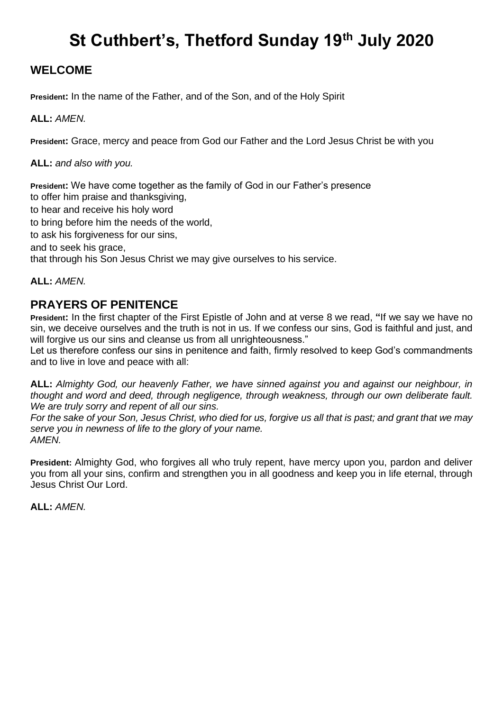# **St Cuthbert's, Thetford Sunday 19th July 2020**

# **WELCOME**

**President:** In the name of the Father, and of the Son, and of the Holy Spirit

**ALL:** *AMEN.* 

**President:** Grace, mercy and peace from God our Father and the Lord Jesus Christ be with you

**ALL:** *and also with you.*

**President:** We have come together as the family of God in our Father's presence to offer him praise and thanksgiving, to hear and receive his holy word to bring before him the needs of the world, to ask his forgiveness for our sins, and to seek his grace, that through his Son Jesus Christ we may give ourselves to his service.

**ALL:** *AMEN.*

## **PRAYERS OF PENITENCE**

**President:** In the first chapter of the First Epistle of John and at verse 8 we read, **"**If we say we have no sin, we deceive ourselves and the truth is not in us. If we confess our sins, God is faithful and just, and will forgive us our sins and cleanse us from all unrighteousness."

Let us therefore confess our sins in penitence and faith, firmly resolved to keep God's commandments and to live in love and peace with all:

**ALL:** *Almighty God, our heavenly Father, we have sinned against you and against our neighbour, in thought and word and deed, through negligence, through weakness, through our own deliberate fault. We are truly sorry and repent of all our sins.* 

*For the sake of your Son, Jesus Christ, who died for us, forgive us all that is past; and grant that we may serve you in newness of life to the glory of your name. AMEN.* 

**President:** Almighty God, who forgives all who truly repent, have mercy upon you, pardon and deliver you from all your sins, confirm and strengthen you in all goodness and keep you in life eternal, through Jesus Christ Our Lord.

**ALL:** *AMEN.*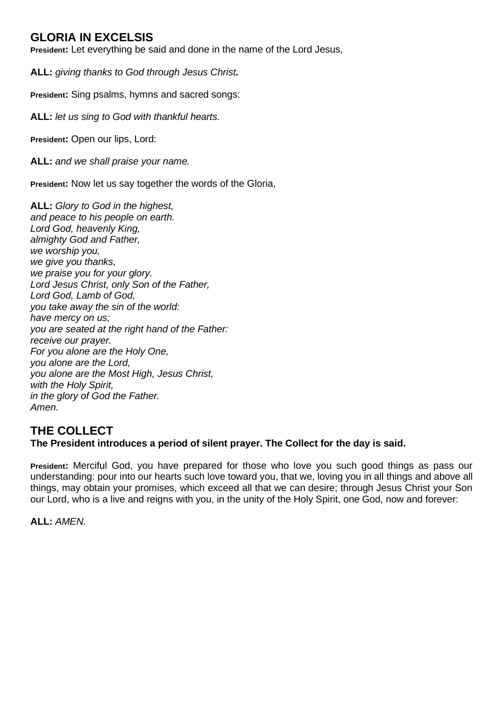# **GLORIA IN EXCELSIS**

**President:** Let everything be said and done in the name of the Lord Jesus,

**ALL:** *giving thanks to God through Jesus Christ.*

**President:** Sing psalms, hymns and sacred songs:

**ALL:** *let us sing to God with thankful hearts.*

**President:** Open our lips, Lord:

**ALL:** *and we shall praise your name.*

**President:** Now let us say together the words of the Gloria,

**ALL:** *Glory to God in the highest, and peace to his people on earth. Lord God, heavenly King, almighty God and Father, we worship you, we give you thanks, we praise you for your glory. Lord Jesus Christ, only Son of the Father, Lord God, Lamb of God, you take away the sin of the world: have mercy on us; you are seated at the right hand of the Father: receive our prayer. For you alone are the Holy One, you alone are the Lord, you alone are the Most High, Jesus Christ, with the Holy Spirit, in the glory of God the Father. Amen.*

#### **THE COLLECT The President introduces a period of silent prayer. The Collect for the day is said.**

**President:** Merciful God, you have prepared for those who love you such good things as pass our understanding: pour into our hearts such love toward you, that we, loving you in all things and above all things, may obtain your promises, which exceed all that we can desire; through Jesus Christ your Son our Lord, who is a live and reigns with you, in the unity of the Holy Spirit, one God, now and forever:

**ALL:** *AMEN.*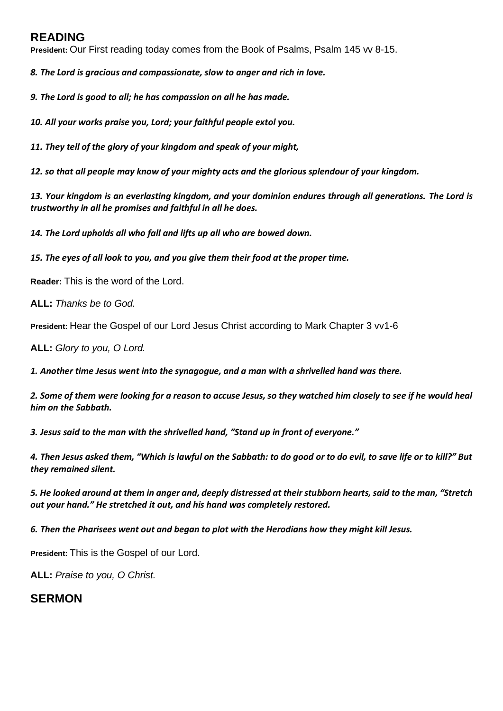## **READING**

**President:** Our First reading today comes from the Book of Psalms, Psalm 145 vv 8-15.

*8. The Lord is gracious and compassionate, slow to anger and rich in love.* 

*9. The Lord is good to all; he has compassion on all he has made.* 

*10. All your works praise you, Lord; your faithful people extol you.* 

*11. They tell of the glory of your kingdom and speak of your might,* 

*12. so that all people may know of your mighty acts and the glorious splendour of your kingdom.* 

*13. Your kingdom is an everlasting kingdom, and your dominion endures through all generations. The Lord is trustworthy in all he promises and faithful in all he does.* 

*14. The Lord upholds all who fall and lifts up all who are bowed down.* 

*15. The eyes of all look to you, and you give them their food at the proper time.* 

**Reader:** This is the word of the Lord.

**ALL:** *Thanks be to God.*

**President:** Hear the Gospel of our Lord Jesus Christ according to Mark Chapter 3 vv1-6

**ALL:** *Glory to you, O Lord.*

*1. Another time Jesus went into the synagogue, and a man with a shrivelled hand was there.* 

*2. Some of them were looking for a reason to accuse Jesus, so they watched him closely to see if he would heal him on the Sabbath.* 

*3. Jesus said to the man with the shrivelled hand, "Stand up in front of everyone."* 

*4. Then Jesus asked them, "Which is lawful on the Sabbath: to do good or to do evil, to save life or to kill?" But they remained silent.*

*5. He looked around at them in anger and, deeply distressed at their stubborn hearts, said to the man, "Stretch out your hand." He stretched it out, and his hand was completely restored.* 

*6. Then the Pharisees went out and began to plot with the Herodians how they might kill Jesus.* 

**President:** This is the Gospel of our Lord.

**ALL:** *Praise to you, O Christ.*

### **SERMON**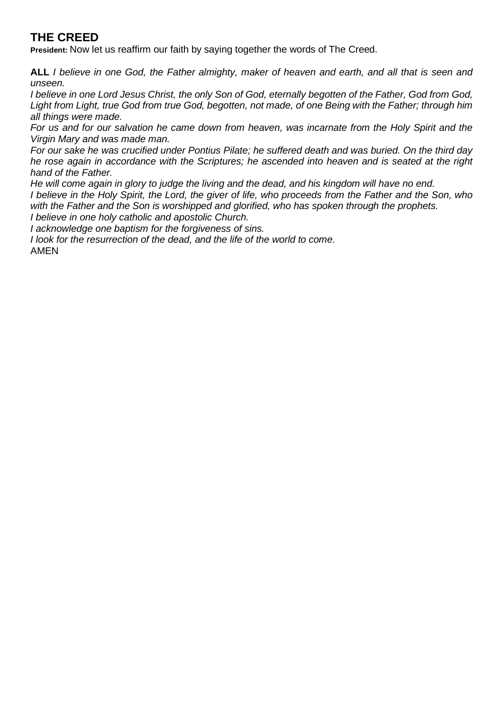# **THE CREED**

**President:** Now let us reaffirm our faith by saying together the words of The Creed.

**ALL** *I believe in one God, the Father almighty, maker of heaven and earth, and all that is seen and unseen.* 

*I believe in one Lord Jesus Christ, the only Son of God, eternally begotten of the Father, God from God, Light from Light, true God from true God, begotten, not made, of one Being with the Father; through him all things were made.* 

*For us and for our salvation he came down from heaven, was incarnate from the Holy Spirit and the Virgin Mary and was made man.* 

*For our sake he was crucified under Pontius Pilate; he suffered death and was buried. On the third day he rose again in accordance with the Scriptures; he ascended into heaven and is seated at the right hand of the Father.* 

*He will come again in glory to judge the living and the dead, and his kingdom will have no end.* 

*I believe in the Holy Spirit, the Lord, the giver of life, who proceeds from the Father and the Son, who with the Father and the Son is worshipped and glorified, who has spoken through the prophets.* 

*I believe in one holy catholic and apostolic Church.* 

*I acknowledge one baptism for the forgiveness of sins.* 

*I look for the resurrection of the dead, and the life of the world to come.* 

AMEN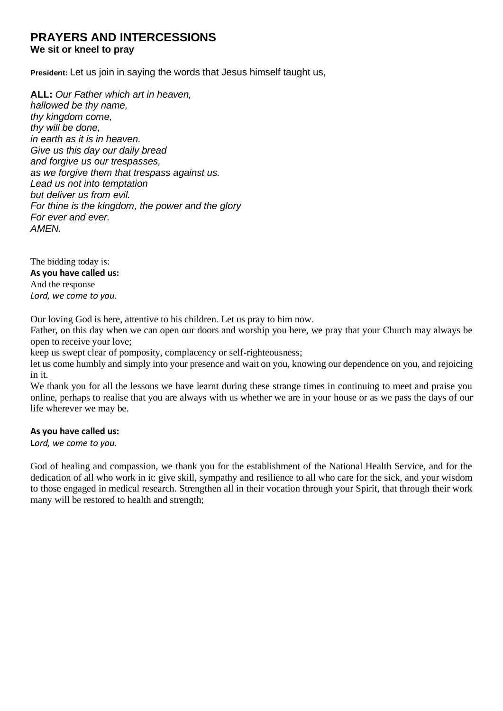## **PRAYERS AND INTERCESSIONS**

#### **We sit or kneel to pray**

**President:** Let us join in saying the words that Jesus himself taught us,

**ALL:** *Our Father which art in heaven, hallowed be thy name, thy kingdom come, thy will be done, in earth as it is in heaven. Give us this day our daily bread and forgive us our trespasses, as we forgive them that trespass against us. Lead us not into temptation but deliver us from evil. For thine is the kingdom, the power and the glory For ever and ever. AMEN.*

The bidding today is: **As you have called us:**  And the response *Lord, we come to you.*

Our loving God is here, attentive to his children. Let us pray to him now.

Father, on this day when we can open our doors and worship you here, we pray that your Church may always be open to receive your love;

keep us swept clear of pomposity, complacency or self-righteousness;

let us come humbly and simply into your presence and wait on you, knowing our dependence on you, and rejoicing in it.

We thank you for all the lessons we have learnt during these strange times in continuing to meet and praise you online, perhaps to realise that you are always with us whether we are in your house or as we pass the days of our life wherever we may be.

#### **As you have called us:**

**L***ord, we come to you.* 

God of healing and compassion, we thank you for the establishment of the National Health Service, and for the dedication of all who work in it: give skill, sympathy and resilience to all who care for the sick, and your wisdom to those engaged in medical research. Strengthen all in their vocation through your Spirit, that through their work many will be restored to health and strength;